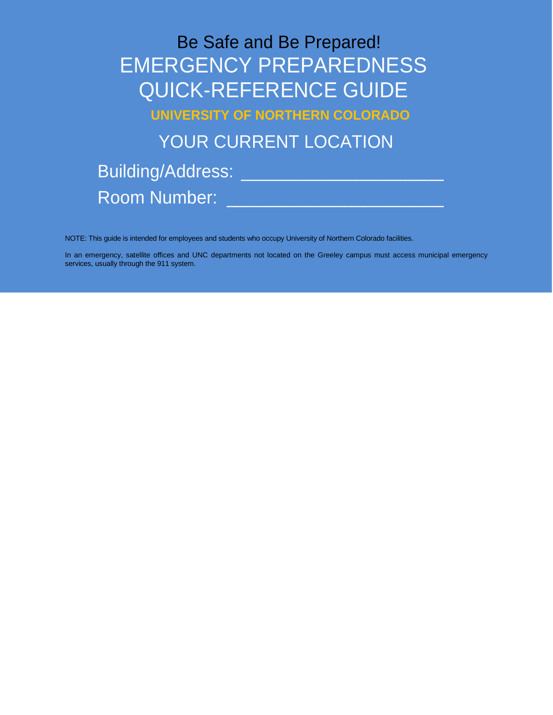Be Safe and Be Prepared! EMERGENCY PREPAREDNESS QUICK-REFERENCE GUIDE

**UNIVERSITY OF NORTHERN COLORADO**

YOUR CURRENT LOCATION

Building/Address: \_\_\_\_\_\_\_\_\_\_\_\_\_\_\_\_\_\_\_\_\_ Room Number: \_\_\_\_\_\_\_\_\_\_\_\_\_\_\_\_\_\_\_\_\_\_

NOTE: This guide is intended for employees and students who occupy University of Northern Colorado facilities.

In an emergency, satellite offices and UNC departments not located on the Greeley campus must access municipal emergency services, usually through the 911 system.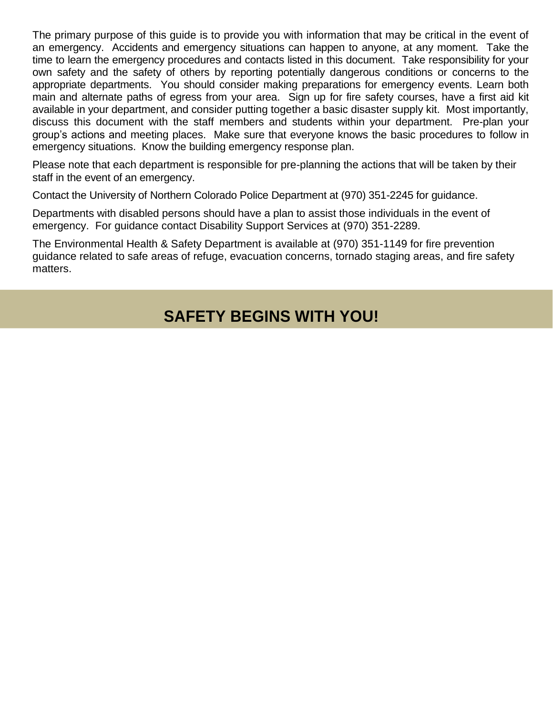The primary purpose of this guide is to provide you with information that may be critical in the event of an emergency. Accidents and emergency situations can happen to anyone, at any moment. Take the time to learn the emergency procedures and contacts listed in this document. Take responsibility for your own safety and the safety of others by reporting potentially dangerous conditions or concerns to the appropriate departments. You should consider making preparations for emergency events. Learn both main and alternate paths of egress from your area. Sign up for fire safety courses, have a first aid kit available in your department, and consider putting together a basic disaster supply kit. Most importantly, discuss this document with the staff members and students within your department. Pre-plan your group's actions and meeting places. Make sure that everyone knows the basic procedures to follow in emergency situations. Know the building emergency response plan.

Please note that each department is responsible for pre-planning the actions that will be taken by their staff in the event of an emergency.

Contact the University of Northern Colorado Police Department at (970) 351-2245 for guidance.

Departments with disabled persons should have a plan to assist those individuals in the event of emergency. For guidance contact Disability Support Services at (970) 351-2289.

The Environmental Health & Safety Department is available at (970) 351-1149 for fire prevention guidance related to safe areas of refuge, evacuation concerns, tornado staging areas, and fire safety matters.

# **SAFETY BEGINS WITH YOU!**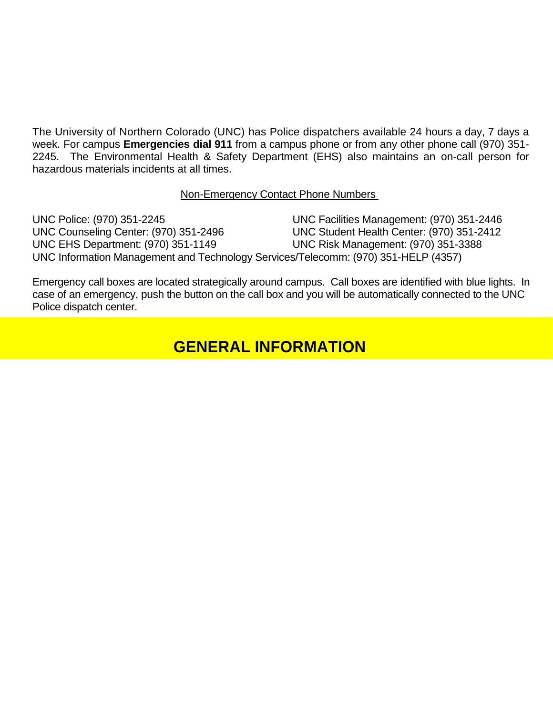The University of Northern Colorado (UNC) has Police dispatchers available 24 hours a day, 7 days a week. For campus **Emergencies dial 911** from a campus phone or from any other phone call (970) 351- 2245. The Environmental Health & Safety Department (EHS) also maintains an on-call person for hazardous materials incidents at all times.

### Non-Emergency Contact Phone Numbers

UNC Police: (970) 351-2245 UNC Facilities Management: (970) 351-2446 UNC Counseling Center: (970) 351-2496 UNC Student Health Center: (970) 351-2412 UNC EHS Department: (970) 351-1149 UNC Risk Management: (970) 351-3388 UNC Information Management and Technology Services/Telecomm: (970) 351-HELP (4357)

Emergency call boxes are located strategically around campus. Call boxes are identified with blue lights. In case of an emergency, push the button on the call box and you will be automatically connected to the UNC Police dispatch center.

### **GENERAL INFORMATION**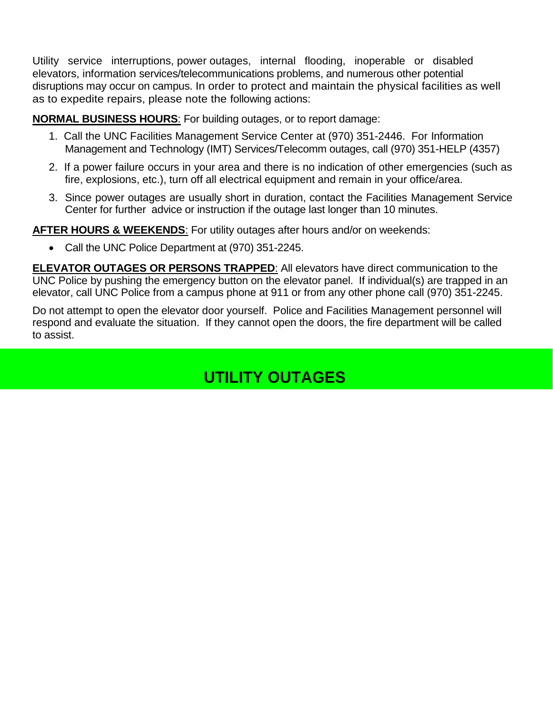Utility service interruptions, power outages, internal flooding, inoperable or disabled elevators, information services/telecommunications problems, and numerous other potential disruptions may occur on campus. In order to protect and maintain the physical facilities as well as to expedite repairs, please note the following actions:

### **NORMAL BUSINESS HOURS**: For building outages, or to report damage:

- 1. Call the UNC Facilities Management Service Center at (970) 351-2446. For Information Management and Technology (IMT) Services/Telecomm outages, call (970) 351-HELP (4357)
- 2. If a power failure occurs in your area and there is no indication of other emergencies (such as fire, explosions, etc.), turn off all electrical equipment and remain in your office/area.
- 3. Since power outages are usually short in duration, contact the Facilities Management Service Center for further advice or instruction if the outage last longer than 10 minutes.

**AFTER HOURS & WEEKENDS**: For utility outages after hours and/or on weekends:

• Call the UNC Police Department at (970) 351-2245.

**ELEVATOR OUTAGES OR PERSONS TRAPPED**: All elevators have direct communication to the UNC Police by pushing the emergency button on the elevator panel. If individual(s) are trapped in an elevator, call UNC Police from a campus phone at 911 or from any other phone call (970) 351-2245.

Do not attempt to open the elevator door yourself. Police and Facilities Management personnel will respond and evaluate the situation. If they cannot open the doors, the fire department will be called to assist.

# **UTILITY OUTAGES**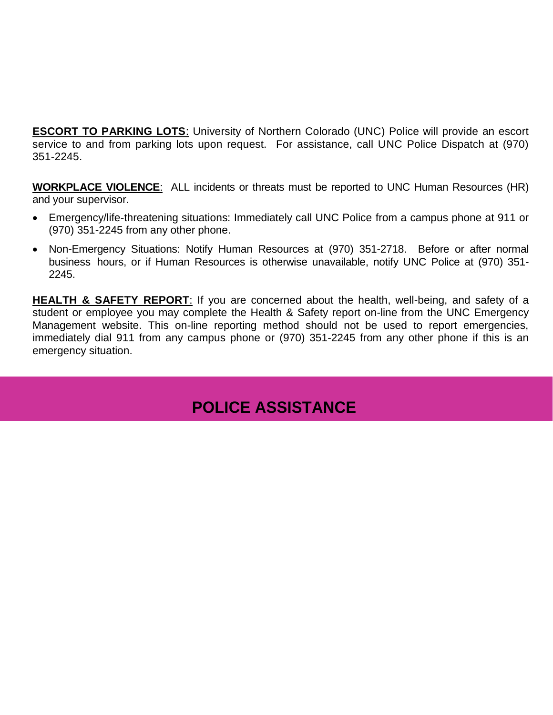**ESCORT TO PARKING LOTS:** University of Northern Colorado (UNC) Police will provide an escort service to and from parking lots upon request. For assistance, call UNC Police Dispatch at (970) 351-2245.

**WORKPLACE VIOLENCE**: ALL incidents or threats must be reported to UNC Human Resources (HR) and your supervisor.

- Emergency/life-threatening situations: Immediately call UNC Police from a campus phone at 911 or (970) 351-2245 from any other phone.
- Non-Emergency Situations: Notify Human Resources at (970) 351-2718. Before or after normal business hours, or if Human Resources is otherwise unavailable, notify UNC Police at (970) 351- 2245.

**HEALTH & SAFETY REPORT:** If you are concerned about the health, well-being, and safety of a student or employee you may complete the Health & Safety report on-line from the UNC Emergency Management website. This on-line reporting method should not be used to report emergencies, immediately dial 911 from any campus phone or (970) 351-2245 from any other phone if this is an emergency situation.

## **POLICE ASSISTANCE**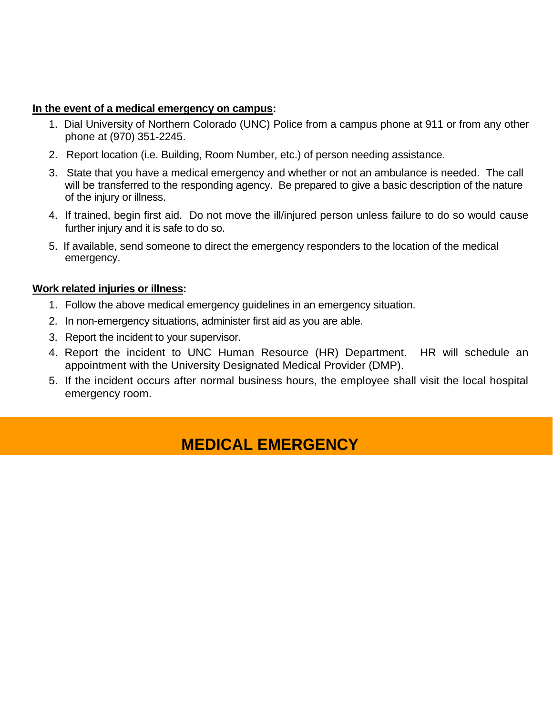### **In the event of a medical emergency on campus:**

- 1. Dial University of Northern Colorado (UNC) Police from a campus phone at 911 or from any other phone at (970) 351-2245.
- 2. Report location (i.e. Building, Room Number, etc.) of person needing assistance.
- 3. State that you have a medical emergency and whether or not an ambulance is needed. The call will be transferred to the responding agency. Be prepared to give a basic description of the nature of the injury or illness.
- 4. If trained, begin first aid. Do not move the ill/injured person unless failure to do so would cause further injury and it is safe to do so.
- 5. If available, send someone to direct the emergency responders to the location of the medical emergency.

### **Work related injuries or illness:**

- 1. Follow the above medical emergency guidelines in an emergency situation.
- 2. In non-emergency situations, administer first aid as you are able.
- 3. Report the incident to your supervisor.
- 4. Report the incident to UNC Human Resource (HR) Department. HR will schedule an appointment with the University Designated Medical Provider (DMP).
- 5. If the incident occurs after normal business hours, the employee shall visit the local hospital emergency room.

## **MEDICAL EMERGENCY**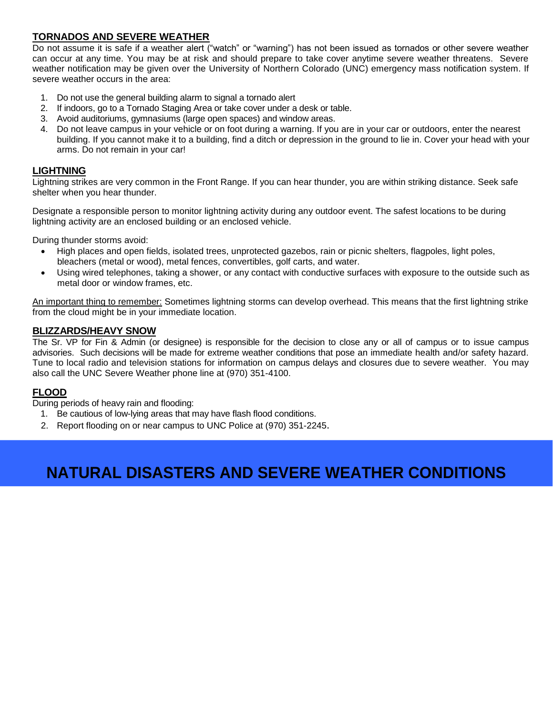### **TORNADOS AND SEVERE WEATHER**

Do not assume it is safe if a weather alert ("watch" or "warning") has not been issued as tornados or other severe weather can occur at any time. You may be at risk and should prepare to take cover anytime severe weather threatens. Severe weather notification may be given over the University of Northern Colorado (UNC) emergency mass notification system. If severe weather occurs in the area:

- 1. Do not use the general building alarm to signal a tornado alert
- 2. If indoors, go to a Tornado Staging Area or take cover under a desk or table.
- 3. Avoid auditoriums, gymnasiums (large open spaces) and window areas.
- 4. Do not leave campus in your vehicle or on foot during a warning. If you are in your car or outdoors, enter the nearest building. If you cannot make it to a building, find a ditch or depression in the ground to lie in. Cover your head with your arms. Do not remain in your car!

#### **LIGHTNING**

Lightning strikes are very common in the Front Range. If you can hear thunder, you are within striking distance. Seek safe shelter when you hear thunder.

Designate a responsible person to monitor lightning activity during any outdoor event. The safest locations to be during lightning activity are an enclosed building or an enclosed vehicle.

During thunder storms avoid:

- High places and open fields, isolated trees, unprotected gazebos, rain or picnic shelters, flagpoles, light poles, bleachers (metal or wood), metal fences, convertibles, golf carts, and water.
- Using wired telephones, taking a shower, or any contact with conductive surfaces with exposure to the outside such as metal door or window frames, etc.

An important thing to remember: Sometimes lightning storms can develop overhead. This means that the first lightning strike from the cloud might be in your immediate location.

### **BLIZZARDS/HEAVY SNOW**

The Sr. VP for Fin & Admin (or designee) is responsible for the decision to close any or all of campus or to issue campus advisories. Such decisions will be made for extreme weather conditions that pose an immediate health and/or safety hazard. Tune to local radio and television stations for information on campus delays and closures due to severe weather. You may also call the UNC Severe Weather phone line at (970) 351-4100.

### **FLOOD**

During periods of heavy rain and flooding:

- 1. Be cautious of low-lying areas that may have flash flood conditions.
- 2. Report flooding on or near campus to UNC Police at (970) 351-2245.

# **NATURAL DISASTERS AND SEVERE WEATHER CONDITIONS**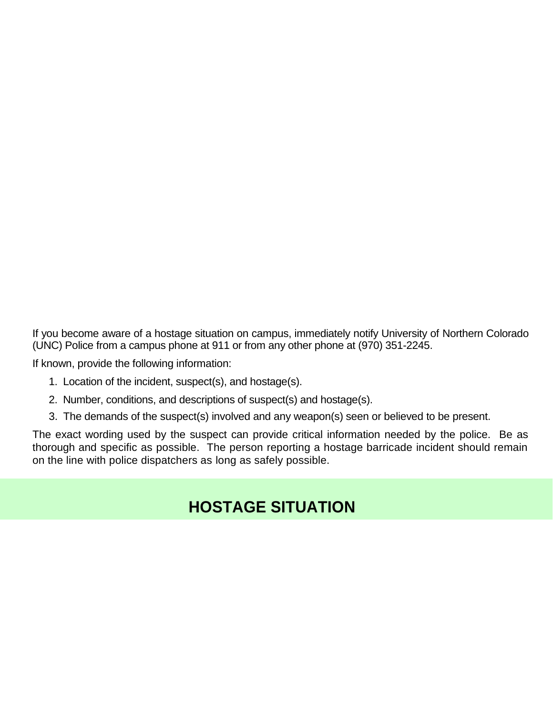If you become aware of a hostage situation on campus, immediately notify University of Northern Colorado (UNC) Police from a campus phone at 911 or from any other phone at (970) 351-2245.

If known, provide the following information:

- 1. Location of the incident, suspect(s), and hostage(s).
- 2. Number, conditions, and descriptions of suspect(s) and hostage(s).
- 3. The demands of the suspect(s) involved and any weapon(s) seen or believed to be present.

The exact wording used by the suspect can provide critical information needed by the police. Be as thorough and specific as possible. The person reporting a hostage barricade incident should remain on the line with police dispatchers as long as safely possible.

## **HOSTAGE SITUATION**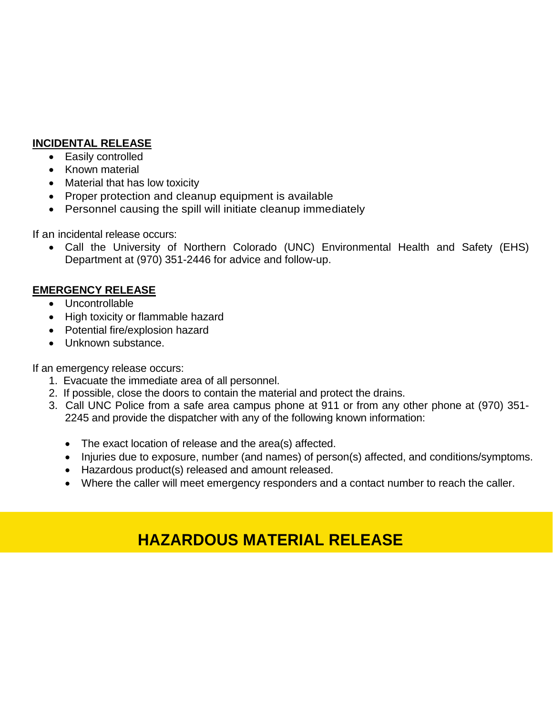### **INCIDENTAL RELEASE**

- Easily controlled
- Known material
- Material that has low toxicity
- Proper protection and cleanup equipment is available
- Personnel causing the spill will initiate cleanup immediately

If an incidental release occurs:

 Call the University of Northern Colorado (UNC) Environmental Health and Safety (EHS) Department at (970) 351-2446 for advice and follow-up.

### **EMERGENCY RELEASE**

- Uncontrollable
- High toxicity or flammable hazard
- Potential fire/explosion hazard
- Unknown substance.

If an emergency release occurs:

- 1. Evacuate the immediate area of all personnel.
- 2. If possible, close the doors to contain the material and protect the drains.
- 3. Call UNC Police from a safe area campus phone at 911 or from any other phone at (970) 351- 2245 and provide the dispatcher with any of the following known information:
	- The exact location of release and the area(s) affected.
	- Injuries due to exposure, number (and names) of person(s) affected, and conditions/symptoms.
	- Hazardous product(s) released and amount released.
	- Where the caller will meet emergency responders and a contact number to reach the caller.

# **HAZARDOUS MATERIAL RELEASE**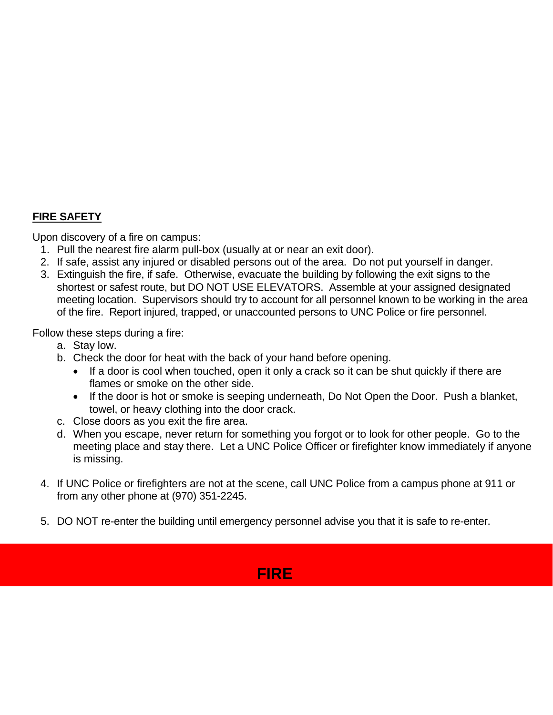### **FIRE SAFETY**

Upon discovery of a fire on campus:

- 1. Pull the nearest fire alarm pull-box (usually at or near an exit door).
- 2. If safe, assist any injured or disabled persons out of the area. Do not put yourself in danger.
- 3. Extinguish the fire, if safe. Otherwise, evacuate the building by following the exit signs to the shortest or safest route, but DO NOT USE ELEVATORS. Assemble at your assigned designated meeting location. Supervisors should try to account for all personnel known to be working in the area of the fire. Report injured, trapped, or unaccounted persons to UNC Police or fire personnel.

Follow these steps during a fire:

- a. Stay low.
- b. Check the door for heat with the back of your hand before opening.
	- If a door is cool when touched, open it only a crack so it can be shut quickly if there are flames or smoke on the other side.
	- If the door is hot or smoke is seeping underneath, Do Not Open the Door. Push a blanket, towel, or heavy clothing into the door crack.
- c. Close doors as you exit the fire area.
- d. When you escape, never return for something you forgot or to look for other people. Go to the meeting place and stay there. Let a UNC Police Officer or firefighter know immediately if anyone is missing.
- 4. If UNC Police or firefighters are not at the scene, call UNC Police from a campus phone at 911 or from any other phone at (970) 351-2245.
- 5. DO NOT re-enter the building until emergency personnel advise you that it is safe to re-enter.

## **FIRE**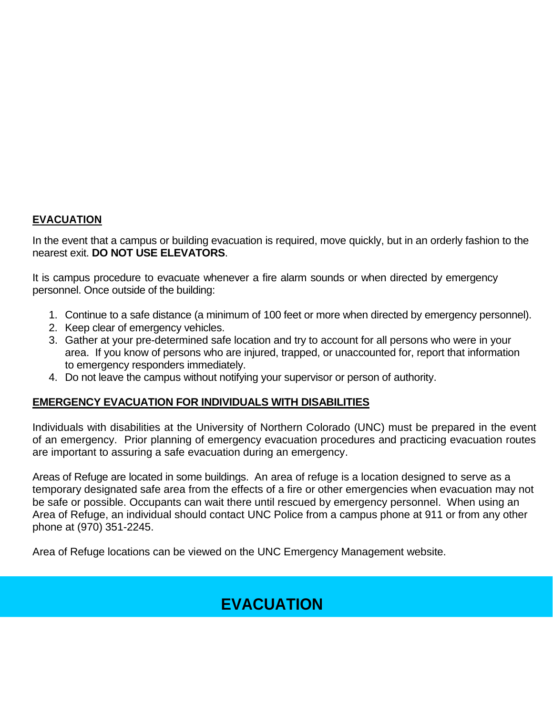### **EVACUATION**

In the event that a campus or building evacuation is required, move quickly, but in an orderly fashion to the nearest exit. **DO NOT USE ELEVATORS**.

It is campus procedure to evacuate whenever a fire alarm sounds or when directed by emergency personnel. Once outside of the building:

- 1. Continue to a safe distance (a minimum of 100 feet or more when directed by emergency personnel).
- 2. Keep clear of emergency vehicles.
- 3. Gather at your pre-determined safe location and try to account for all persons who were in your area. If you know of persons who are injured, trapped, or unaccounted for, report that information to emergency responders immediately.
- 4. Do not leave the campus without notifying your supervisor or person of authority.

### **EMERGENCY EVACUATION FOR INDIVIDUALS WITH DISABILITIES**

Individuals with disabilities at the University of Northern Colorado (UNC) must be prepared in the event of an emergency. Prior planning of emergency evacuation procedures and practicing evacuation routes are important to assuring a safe evacuation during an emergency.

Areas of Refuge are located in some buildings. An area of refuge is a location designed to serve as a temporary designated safe area from the effects of a fire or other emergencies when evacuation may not be safe or possible. Occupants can wait there until rescued by emergency personnel. When using an Area of Refuge, an individual should contact UNC Police from a campus phone at 911 or from any other phone at (970) 351-2245.

Area of Refuge locations can be viewed on the UNC Emergency Management website.

# **EVACUATION**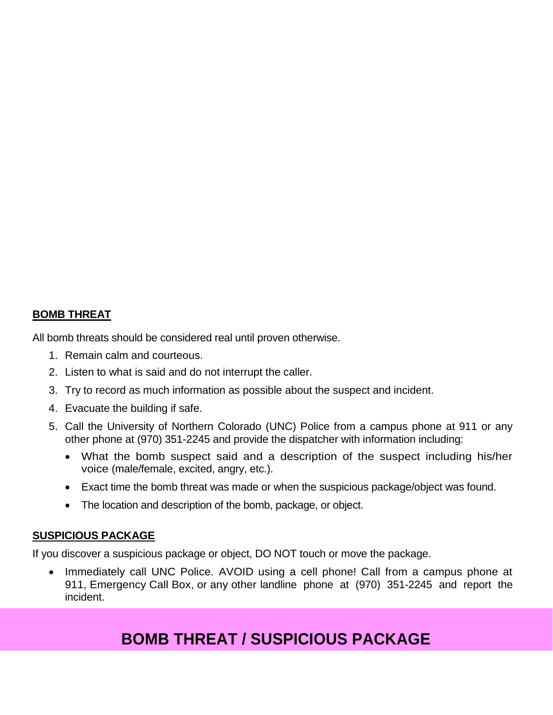### **BOMB THREAT**

All bomb threats should be considered real until proven otherwise.

- 1. Remain calm and courteous.
- 2. Listen to what is said and do not interrupt the caller.
- 3. Try to record as much information as possible about the suspect and incident.
- 4. Evacuate the building if safe.
- 5. Call the University of Northern Colorado (UNC) Police from a campus phone at 911 or any other phone at (970) 351-2245 and provide the dispatcher with information including:
	- What the bomb suspect said and a description of the suspect including his/her voice (male/female, excited, angry, etc.).
	- Exact time the bomb threat was made or when the suspicious package/object was found.
	- The location and description of the bomb, package, or object.

### **SUSPICIOUS PACKAGE**

If you discover a suspicious package or object, DO NOT touch or move the package.

 Immediately call UNC Police. AVOID using a cell phone! Call from a campus phone at 911, Emergency Call Box, or any other landline phone at (970) 351-2245 and report the incident.

## **BOMB THREAT / SUSPICIOUS PACKAGE**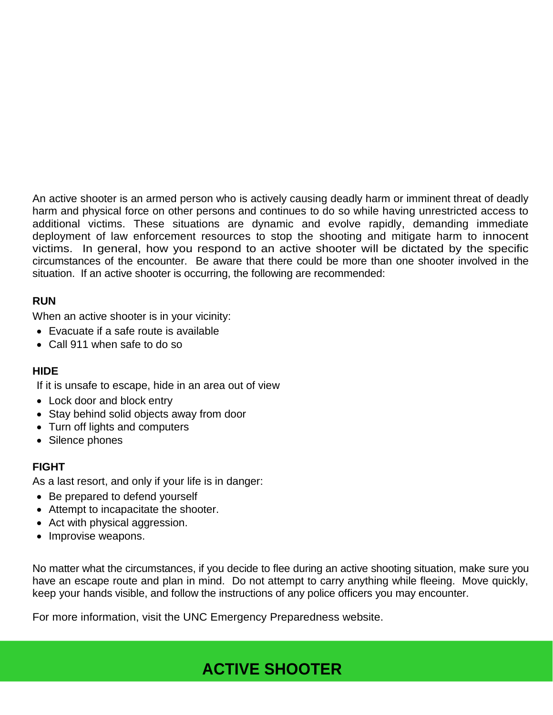An active shooter is an armed person who is actively causing deadly harm or imminent threat of deadly harm and physical force on other persons and continues to do so while having unrestricted access to additional victims. These situations are dynamic and evolve rapidly, demanding immediate deployment of law enforcement resources to stop the shooting and mitigate harm to innocent victims. In general, how you respond to an active shooter will be dictated by the specific circumstances of the encounter. Be aware that there could be more than one shooter involved in the situation. If an active shooter is occurring, the following are recommended:

### **RUN**

When an active shooter is in your vicinity:

- Evacuate if a safe route is available
- Call 911 when safe to do so

### **HIDE**

If it is unsafe to escape, hide in an area out of view

- Lock door and block entry
- Stay behind solid objects away from door
- Turn off lights and computers
- Silence phones

### **FIGHT**

As a last resort, and only if your life is in danger:

- Be prepared to defend yourself
- Attempt to incapacitate the shooter.
- Act with physical aggression.
- Improvise weapons.

No matter what the circumstances, if you decide to flee during an active shooting situation, make sure you have an escape route and plan in mind. Do not attempt to carry anything while fleeing. Move quickly, keep your hands visible, and follow the instructions of any police officers you may encounter.

For more information, visit the UNC Emergency Preparedness website.

## **ACTIVE SHOOTER**